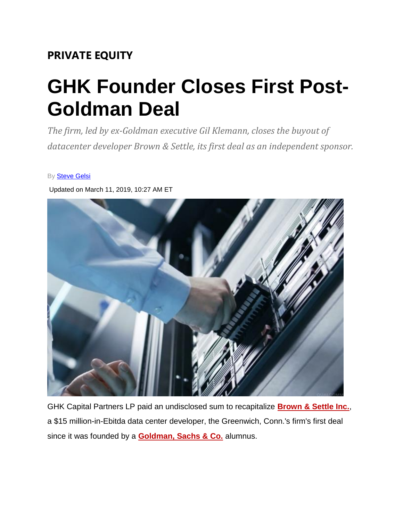## **PRIVATE EQUITY**

## **GHK Founder Closes First Post-Goldman Deal**

*The firm, led by ex-Goldman executive Gil Klemann, closes the buyout of datacenter developer Brown & Settle, its first deal as an independent sponsor.*

By **[Steve Gelsi](https://pipeline.thedeal.com/tdd/ViewAuthor.dl?keyword=2653143)** 

Updated on March 11, 2019, 10:27 AM ET



GHK Capital Partners LP paid an undisclosed sum to recapitalize **[Brown & Settle Inc.](https://pipeline.thedeal.com/tdd/ViewCompany.dl?id=2476133)**, a \$15 million-in-Ebitda data center developer, the Greenwich, Conn.'s firm's first deal since it was founded by a **[Goldman, Sachs & Co.](https://pipeline.thedeal.com/tdd/ViewCompany.dl?id=2402728)** alumnus.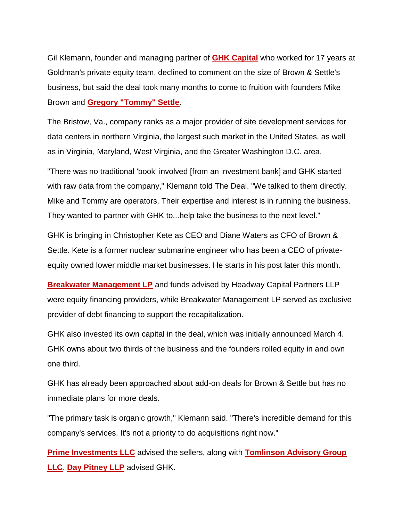Gil Klemann, founder and managing partner of **[GHK Capital](https://pipeline.thedeal.com/tdd/ViewCompany.dl?id=2476132)** who worked for 17 years at Goldman's private equity team, declined to comment on the size of Brown & Settle's business, but said the deal took many months to come to fruition with founders Mike Brown and **[Gregory "Tommy" Settle](https://pipeline.thedeal.com/tdd/ViewPeople.dl?id=1009027)**.

The Bristow, Va., company ranks as a major provider of site development services for data centers in northern Virginia, the largest such market in the United States, as well as in Virginia, Maryland, West Virginia, and the Greater Washington D.C. area.

"There was no traditional 'book' involved [from an investment bank] and GHK started with raw data from the company," Klemann told The Deal. "We talked to them directly. Mike and Tommy are operators. Their expertise and interest is in running the business. They wanted to partner with GHK to...help take the business to the next level."

GHK is bringing in Christopher Kete as CEO and Diane Waters as CFO of Brown & Settle. Kete is a former nuclear submarine engineer who has been a CEO of privateequity owned lower middle market businesses. He starts in his post later this month.

**[Breakwater Management LP](https://pipeline.thedeal.com/tdd/ViewCompany.dl?id=2476136)** and funds advised by Headway Capital Partners LLP were equity financing providers, while Breakwater Management LP served as exclusive provider of debt financing to support the recapitalization.

GHK also invested its own capital in the deal, which was initially announced March 4. GHK owns about two thirds of the business and the founders rolled equity in and own one third.

GHK has already been approached about add-on deals for Brown & Settle but has no immediate plans for more deals.

"The primary task is organic growth," Klemann said. "There's incredible demand for this company's services. It's not a priority to do acquisitions right now."

**[Prime Investments LLC](https://pipeline.thedeal.com/tdd/ViewCompany.dl?id=1986024)** advised the sellers, along with **[Tomlinson Advisory Group](https://pipeline.thedeal.com/tdd/ViewCompany.dl?id=2476137)  [LLC](https://pipeline.thedeal.com/tdd/ViewCompany.dl?id=2476137)**. **[Day Pitney LLP](https://pipeline.thedeal.com/tdd/ViewCompany.dl?id=1960950)** advised GHK.